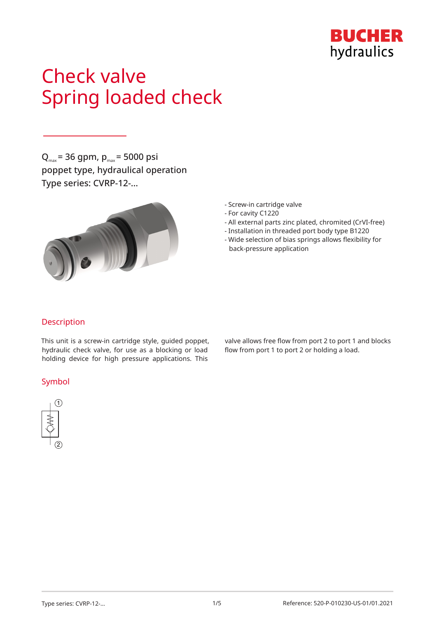

# Check valve Spring loaded check

 $Q_{\text{max}}$  = 36 gpm,  $p_{\text{max}}$  = 5000 psi poppet type, hydraulical operation Type series: CVRP-12-…



- Screw-in cartridge valve
- For cavity C1220
- All external parts zinc plated, chromited (CrVI-free)
- Installation in threaded port body type B1220
- Wide selection of bias springs allows flexibility for back-pressure application

#### Description

This unit is a screw-in cartridge style, guided poppet, hydraulic check valve, for use as a blocking or load holding device for high pressure applications. This

#### Symbol



valve allows free flow from port 2 to port 1 and blocks flow from port 1 to port 2 or holding a load.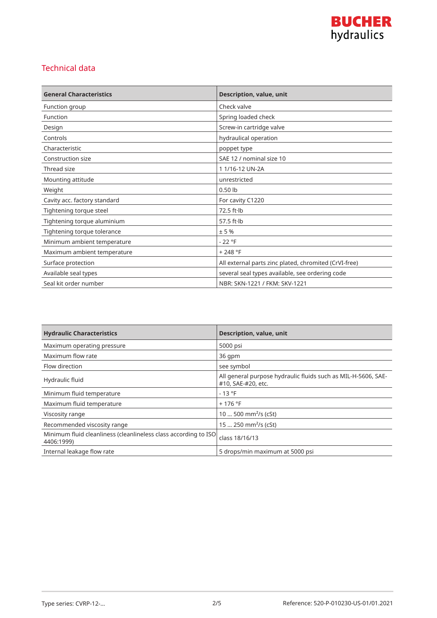

### Technical data

| <b>General Characteristics</b> | Description, value, unit                              |
|--------------------------------|-------------------------------------------------------|
| Function group                 | Check valve                                           |
| Function                       | Spring loaded check                                   |
| Design                         | Screw-in cartridge valve                              |
| Controls                       | hydraulical operation                                 |
| Characteristic                 | poppet type                                           |
| Construction size              | SAE 12 / nominal size 10                              |
| Thread size                    | 11/16-12 UN-2A                                        |
| Mounting attitude              | unrestricted                                          |
| Weight                         | $0.50$ lb                                             |
| Cavity acc. factory standard   | For cavity C1220                                      |
| Tightening torque steel        | $72.5$ ft $\cdot$ lb                                  |
| Tightening torque aluminium    | 57.5 $ft·lb$                                          |
| Tightening torque tolerance    | ± 5%                                                  |
| Minimum ambient temperature    | $-22 °F$                                              |
| Maximum ambient temperature    | $+248 °F$                                             |
| Surface protection             | All external parts zinc plated, chromited (CrVI-free) |
| Available seal types           | several seal types available, see ordering code       |
| Seal kit order number          | NBR: SKN-1221 / FKM: SKV-1221                         |

| <b>Hydraulic Characteristics</b>                                              | <b>Description, value, unit</b>                                                     |
|-------------------------------------------------------------------------------|-------------------------------------------------------------------------------------|
| Maximum operating pressure                                                    | 5000 psi                                                                            |
| Maximum flow rate                                                             | 36 qpm                                                                              |
| Flow direction                                                                | see symbol                                                                          |
| Hydraulic fluid                                                               | All general purpose hydraulic fluids such as MIL-H-5606, SAE-<br>#10, SAE-#20, etc. |
| Minimum fluid temperature                                                     | $-13 °F$                                                                            |
| Maximum fluid temperature                                                     | $+176$ °F                                                                           |
| Viscosity range                                                               | 10  500 mm <sup>2</sup> /s (cSt)                                                    |
| Recommended viscosity range                                                   | 15  250 mm <sup>2</sup> /s (cSt)                                                    |
| Minimum fluid cleanliness (cleanlineless class according to ISO<br>4406:1999) | class 18/16/13                                                                      |
| Internal leakage flow rate                                                    | 5 drops/min maximum at 5000 psi                                                     |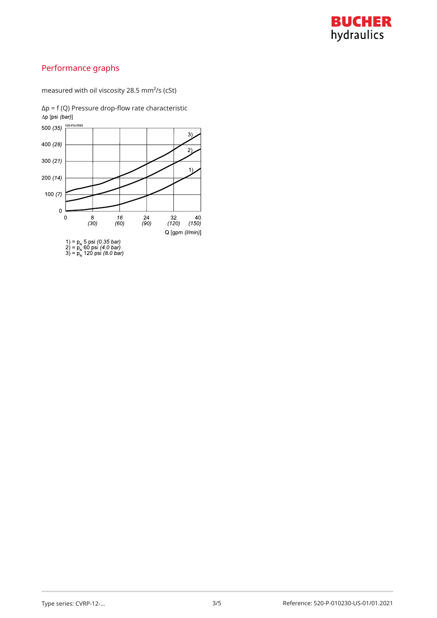

## Performance graphs

measured with oil viscosity 28.5 mm²/s (cSt)

Δp = f (Q) Pressure drop-flow rate characteristic∆p [psi (bar)] 500 (35)  $\frac{520 - PG - 0.060}{\sqrt{1 - 0.060}}$  $3)$ 

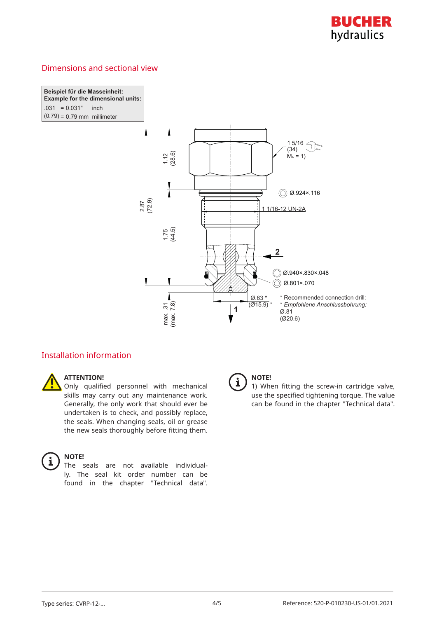

#### Dimensions and sectional view

**Beispiel für die Masseinheit: Example for the dimensional units:**  $.031 = 0.031"$  inch I  $(0.79) = 0.79$  mm millimeter



#### Installation information

### **ATTENTION!**

Only qualified personnel with mechanical skills may carry out any maintenance work. Generally, the only work that should ever be undertaken is to check, and possibly replace, the seals. When changing seals, oil or grease the new seals thoroughly before fitting them.

## $\mathbf i$

#### **NOTE!**

The seals are not available individually. The seal kit order number can be found in the chapter "Technical data".



#### **NOTE!**

1) When fitting the screw-in cartridge valve, use the specified tightening torque. The value can be found in the chapter "Technical data".